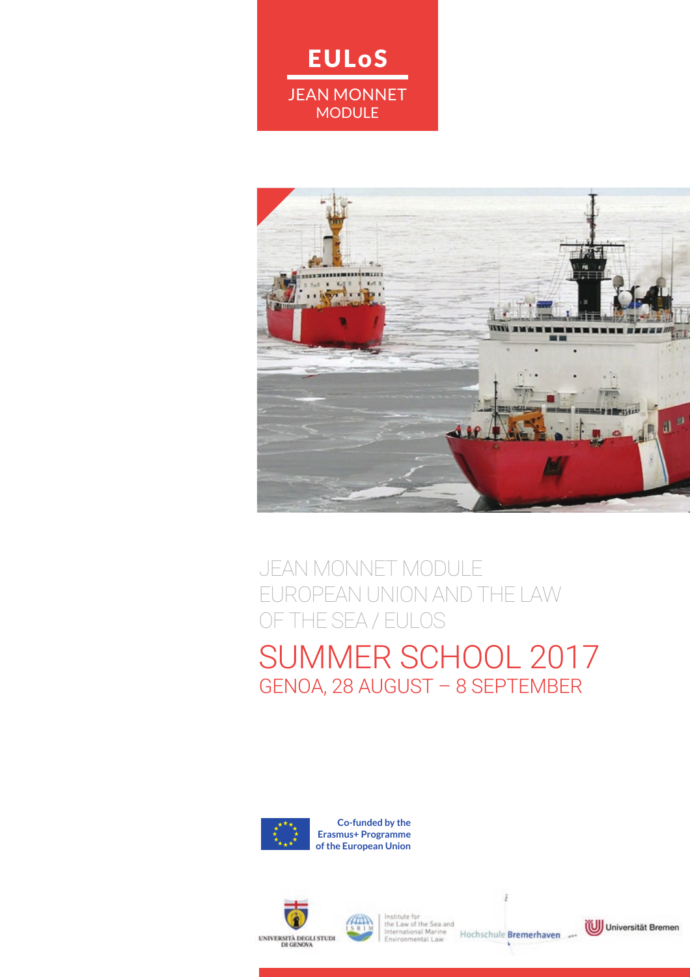JEAN MONNET **MODULE** 

EULoS



### JEAN MONNET MODULE EUROPEAN UNION AND THE LAW OF THE SEA / EULOS SUMMER SCHOOL 2017 GENOA, 28 AUGUST – 8 SEPTEMBER



**Co-funded by the Erasmus+ Programme of the European Union**





netitives to the Law of the Sea and<br>International Marine<br>Environmental Law Hochschule Bremerhaven

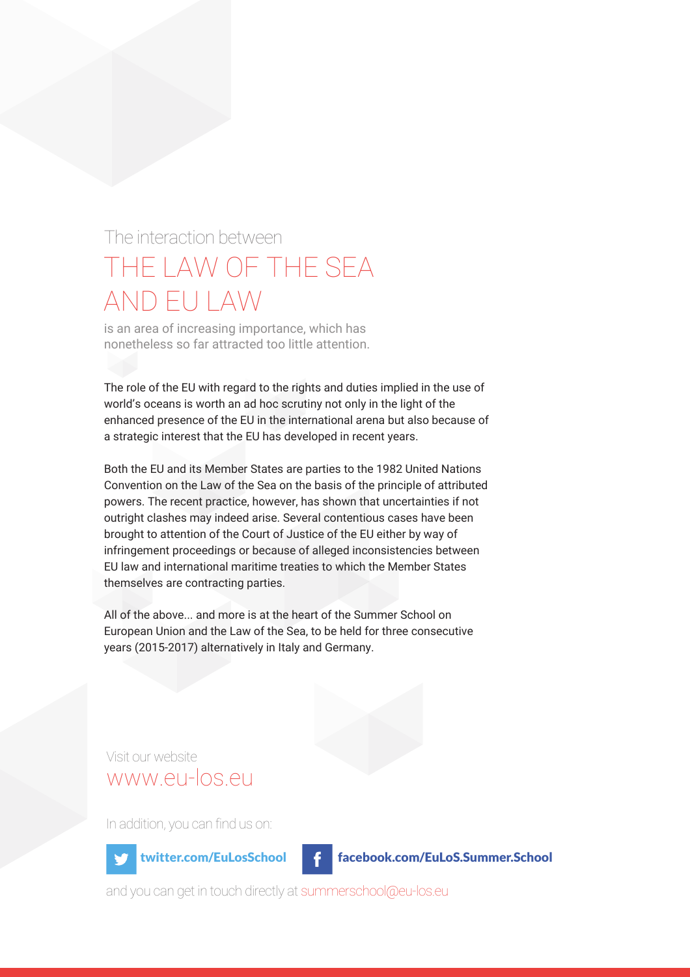### The interaction between THE LAW OF THE SEA AND EU LAW

is an area of increasing importance, which has nonetheless so far attracted too little attention.

The role of the EU with regard to the rights and duties implied in the use of world's oceans is worth an ad hoc scrutiny not only in the light of the enhanced presence of the EU in the international arena but also because of a strategic interest that the EU has developed in recent years.

Both the EU and its Member States are parties to the 1982 United Nations Convention on the Law of the Sea on the basis of the principle of attributed powers. The recent practice, however, has shown that uncertainties if not outright clashes may indeed arise. Several contentious cases have been brought to attention of the Court of Justice of the EU either by way of infringement proceedings or because of alleged inconsistencies between EU law and international maritime treaties to which the Member States themselves are contracting parties.

All of the above... and more is at the heart of the Summer School on European Union and the Law of the Sea, to be held for three consecutive years (2015-2017) alternatively in Italy and Germany.

Visit our website www.eu-los.eu

In addition, you can find us on:

twitter.com/EuLosSchool facebook.com/EuLoS.Summer.School

and you can get in touch directly at summerschool@eu-los.eu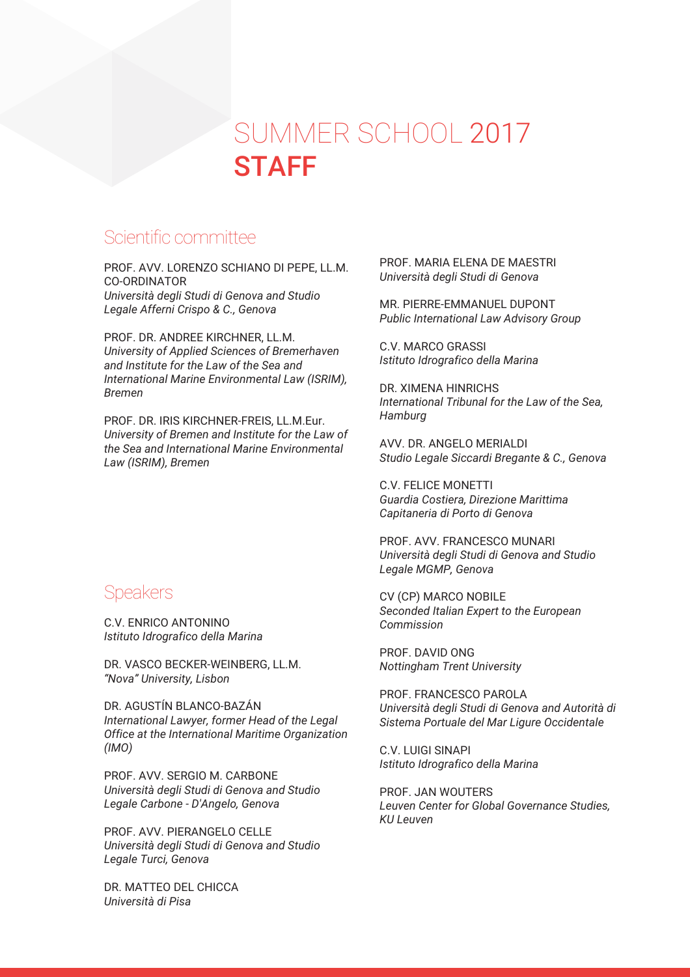## SUMMER SCHOOL 2017 **STAFF**

### Scientific committee

PROF. AVV. LORENZO SCHIANO DI PEPE, LL.M. CO-ORDINATOR *Università degli Studi di Genova and Studio Legale Afferni Crispo & C., Genova*

PROF. DR. ANDREE KIRCHNER, LL.M. *University of Applied Sciences of Bremerhaven and Institute for the Law of the Sea and International Marine Environmental Law (ISRIM), Bremen*

PROF. DR. IRIS KIRCHNER-FREIS, LL.M.Eur. *University of Bremen and Institute for the Law of the Sea and International Marine Environmental Law (ISRIM), Bremen*

#### **Speakers**

C.V. ENRICO ANTONINO *Istituto Idrografico della Marina*

DR. VASCO BECKER-WEINBERG, LL.M. *"Nova" University, Lisbon*

DR. AGUSTÍN BLANCO-BAZÁN *International Lawyer, former Head of the Legal Office at the International Maritime Organization (IMO)*

PROF. AVV. SERGIO M. CARBONE *Università degli Studi di Genova and Studio Legale Carbone - D'Angelo, Genova*

PROF. AVV. PIERANGELO CELLE *Università degli Studi di Genova and Studio Legale Turci, Genova*

DR. MATTEO DEL CHICCA *Università di Pisa*

PROF. MARIA ELENA DE MAESTRI *Università degli Studi di Genova*

MR. PIERRE-EMMANUEL DUPONT *Public International Law Advisory Group*

C.V. MARCO GRASSI *Istituto Idrografico della Marina*

DR. XIMENA HINRICHS *International Tribunal for the Law of the Sea, Hamburg*

AVV. DR. ANGELO MERIALDI *Studio Legale Siccardi Bregante & C., Genova*

C.V. FELICE MONETTI *Guardia Costiera, Direzione Marittima Capitaneria di Porto di Genova*

PROF. AVV. FRANCESCO MUNARI *Università degli Studi di Genova and Studio Legale MGMP, Genova*

CV (CP) MARCO NOBILE *Seconded Italian Expert to the European Commission*

PROF. DAVID ONG *Nottingham Trent University*

PROF. FRANCESCO PAROLA *Università degli Studi di Genova and Autorità di Sistema Portuale del Mar Ligure Occidentale*

C.V. LUIGI SINAPI *Istituto Idrografico della Marina*

PROF. JAN WOUTERS *Leuven Center for Global Governance Studies, KU Leuven*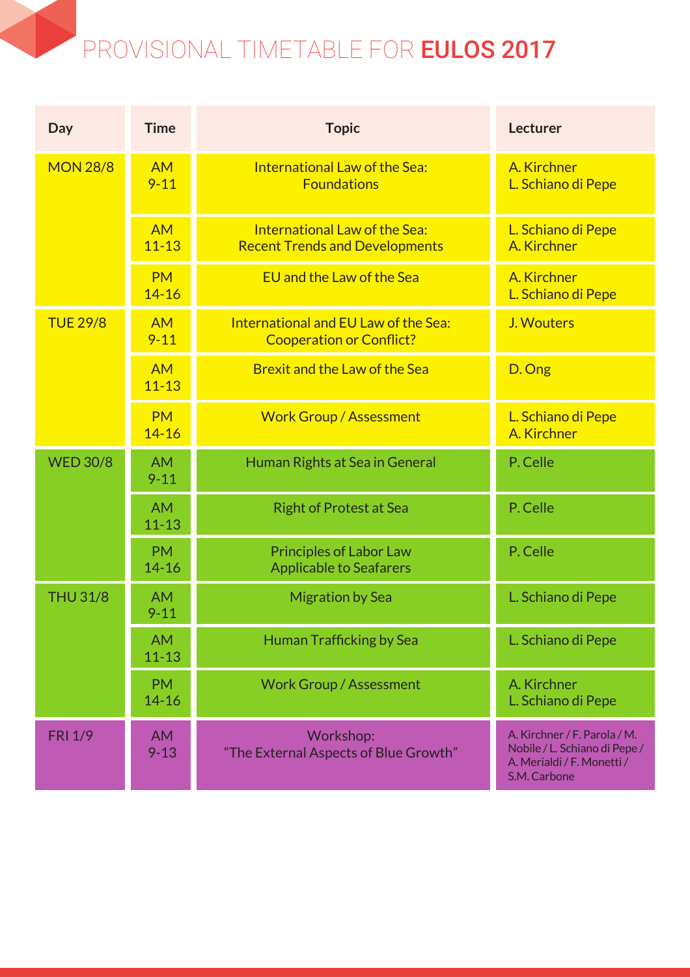## PROVISIONAL TIMETABLE FOR EULOS 2017

| Day             | <b>Time</b>            | <b>Topic</b>                                                            | <b>Lecturer</b>                                                                                             |
|-----------------|------------------------|-------------------------------------------------------------------------|-------------------------------------------------------------------------------------------------------------|
| <b>MON 28/8</b> | <b>AM</b><br>$9 - 11$  | International Law of the Sea:<br><b>Foundations</b>                     | A. Kirchner<br>L. Schiano di Pepe                                                                           |
|                 | <b>AM</b><br>$11 - 13$ | International Law of the Sea:<br><b>Recent Trends and Developments</b>  | L. Schiano di Pepe<br>A. Kirchner                                                                           |
|                 | <b>PM</b><br>$14 - 16$ | EU and the Law of the Sea                                               | A. Kirchner<br>L. Schiano di Pepe                                                                           |
| <b>TUE 29/8</b> | <b>AM</b><br>$9 - 11$  | International and EU Law of the Sea:<br><b>Cooperation or Conflict?</b> | J. Wouters                                                                                                  |
|                 | <b>AM</b><br>$11 - 13$ | Brexit and the Law of the Sea                                           | D. Ong                                                                                                      |
|                 | <b>PM</b><br>$14 - 16$ | <b>Work Group / Assessment</b>                                          | L. Schiano di Pepe<br>A. Kirchner                                                                           |
| <b>WED 30/8</b> | <b>AM</b><br>$9 - 11$  | Human Rights at Sea in General                                          | P. Celle                                                                                                    |
|                 | <b>AM</b><br>$11 - 13$ | <b>Right of Protest at Sea</b>                                          | P. Celle                                                                                                    |
|                 | <b>PM</b><br>$14 - 16$ | <b>Principles of Labor Law</b><br><b>Applicable to Seafarers</b>        | P. Celle                                                                                                    |
| <b>THU 31/8</b> | <b>AM</b><br>$9 - 11$  | <b>Migration by Sea</b>                                                 | L. Schiano di Pepe                                                                                          |
|                 | <b>AM</b><br>$11 - 13$ | <b>Human Trafficking by Sea</b>                                         | L. Schiano di Pepe                                                                                          |
|                 | <b>PM</b><br>$14 - 16$ | <b>Work Group / Assessment</b>                                          | A. Kirchner<br>L. Schiano di Pepe                                                                           |
| <b>FRI 1/9</b>  | <b>AM</b><br>$9 - 13$  | Workshop:<br>"The External Aspects of Blue Growth"                      | A. Kirchner / F. Parola / M.<br>Nobile / L. Schiano di Pepe /<br>A. Merialdi / F. Monetti /<br>S.M. Carbone |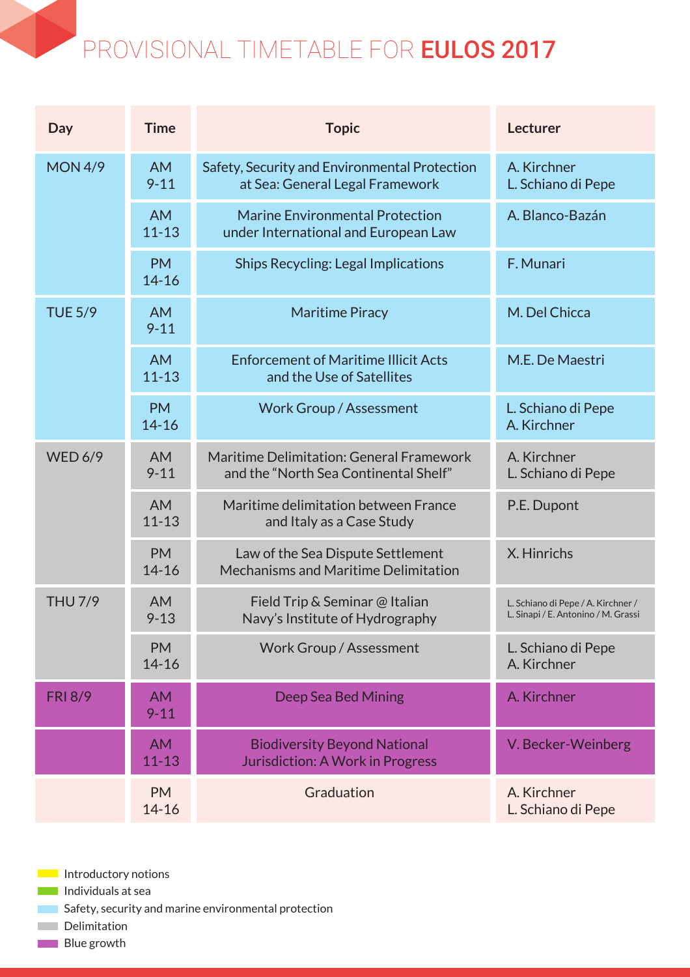### PROVISIONAL TIMETABLE FOR EULOS 2017

| Day            | <b>Time</b>            | <b>Topic</b>                                                                      | <b>Lecturer</b>                                                           |
|----------------|------------------------|-----------------------------------------------------------------------------------|---------------------------------------------------------------------------|
| <b>MON 4/9</b> | <b>AM</b><br>$9 - 11$  | Safety, Security and Environmental Protection<br>at Sea: General Legal Framework  | A. Kirchner<br>L. Schiano di Pepe                                         |
|                | <b>AM</b><br>$11 - 13$ | <b>Marine Environmental Protection</b><br>under International and European Law    | A. Blanco-Bazán                                                           |
|                | <b>PM</b><br>$14 - 16$ | <b>Ships Recycling: Legal Implications</b>                                        | F. Munari                                                                 |
| <b>TUE 5/9</b> | <b>AM</b><br>$9 - 11$  | <b>Maritime Piracy</b>                                                            | M. Del Chicca                                                             |
|                | <b>AM</b><br>$11 - 13$ | <b>Enforcement of Maritime Illicit Acts</b><br>and the Use of Satellites          | M.E. De Maestri                                                           |
|                | <b>PM</b><br>$14 - 16$ | <b>Work Group / Assessment</b>                                                    | L. Schiano di Pepe<br>A. Kirchner                                         |
| <b>WED 6/9</b> | <b>AM</b><br>$9 - 11$  | Maritime Delimitation: General Framework<br>and the "North Sea Continental Shelf" | A. Kirchner<br>L. Schiano di Pepe                                         |
|                | <b>AM</b><br>$11 - 13$ | Maritime delimitation between France<br>and Italy as a Case Study                 | P.E. Dupont                                                               |
|                | <b>PM</b><br>$14 - 16$ | Law of the Sea Dispute Settlement<br>Mechanisms and Maritime Delimitation         | X. Hinrichs                                                               |
| <b>THU 7/9</b> | <b>AM</b><br>$9 - 13$  | Field Trip & Seminar @ Italian<br>Navy's Institute of Hydrography                 | L. Schiano di Pepe / A. Kirchner /<br>L. Sinapi / E. Antonino / M. Grassi |
|                | <b>PM</b><br>$14 - 16$ | <b>Work Group / Assessment</b>                                                    | L. Schiano di Pepe<br>A. Kirchner                                         |
| <b>FRI 8/9</b> | <b>AM</b><br>$9 - 11$  | Deep Sea Bed Mining                                                               | A. Kirchner                                                               |
|                | <b>AM</b><br>$11 - 13$ | <b>Biodiversity Beyond National</b><br>Jurisdiction: A Work in Progress           | V. Becker-Weinberg                                                        |
|                | <b>PM</b><br>$14 - 16$ | Graduation                                                                        | A. Kirchner<br>L. Schiano di Pepe                                         |

- **Introductory notions**
- **Individuals at sea**
- **Safety, security and marine environmental protection**
- **Delimitation**
- **Blue** growth